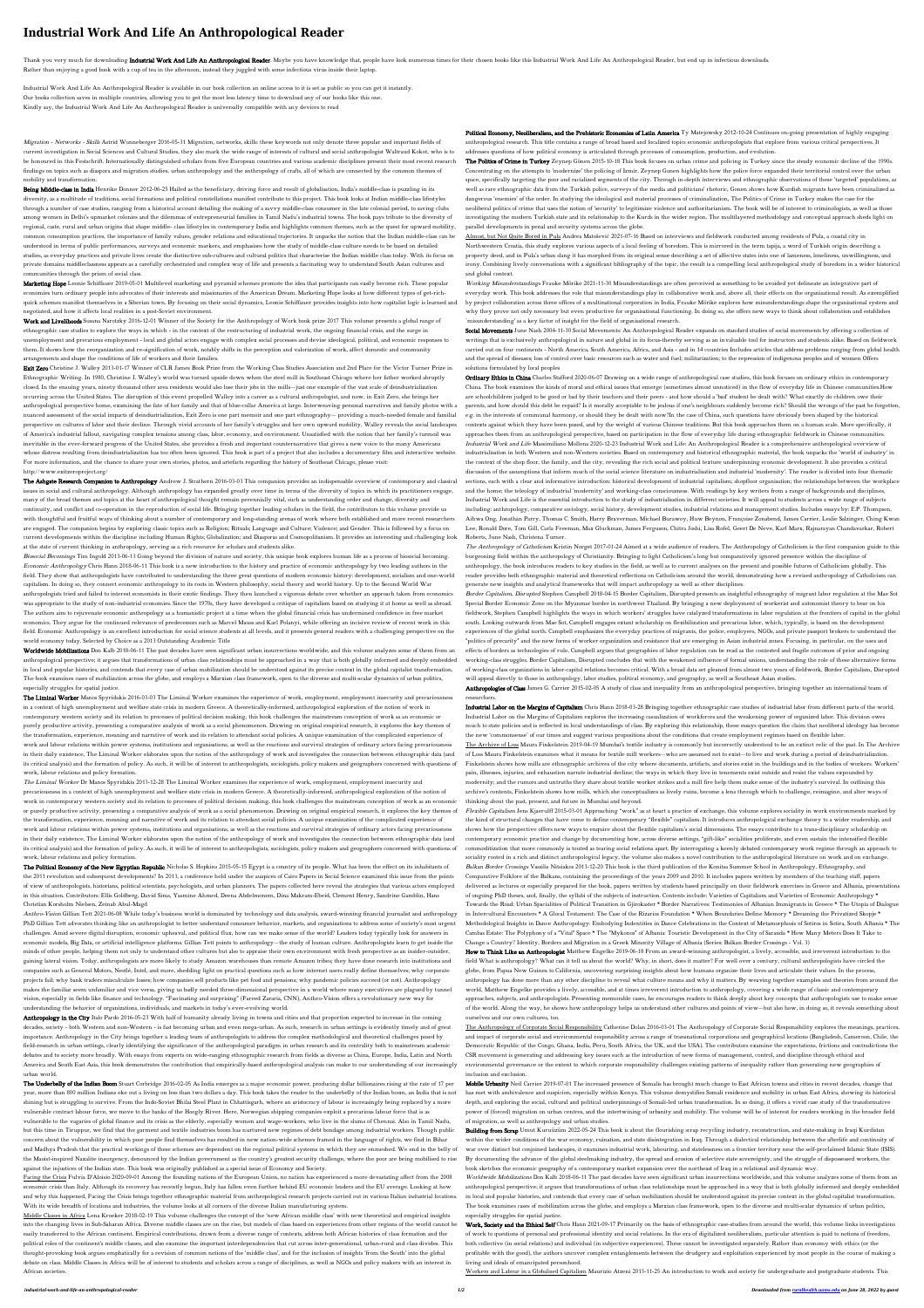## **Industrial Work And Life An Anthropological Reader**

Thank you very much for downloading Industrial Work And Life An Anthropological Reader. Maybe you have knowledge that, people have look numerous times for their chosen books like this Industrial Work And Life An Anthropolo Rather than enjoying a good book with a cup of tea in the afternoon, instead they juggled with some infectious virus inside their laptop.

Industrial Work And Life An Anthropological Reader is available in our book collection an online access to it is set as public so you can get it instantly. Our books collection saves in multiple countries, allowing you to get the most less latency time to download any of our books like this one. Kindly say, the Industrial Work And Life An Anthropological Reader is universally compatible with any devices to read

Migration - Networks - Skills Astrid Wonneberger 2016-05-31 Migration, networks, skills: these keywords not only denote three popular and important fields of current investigation in Social Sciences and Cultural Studies, they also mark the wide range of interests of cultural and social anthropologist Waltraud Kokot, who is to be honoured in this Festschrift. Internationally distinguished scholars from five European countries and various academic disciplines present their most recent research findings on topics such as diaspora and migration studies, urban anthropology and the anthropology of crafts, all of which are connected by the common themes of mobility and transformation.

Being Middle-class in India Henrike Donner 2012-06-25 Hailed as the beneficiary, driving force and result of globalisation, India's middle-class is puzzling in its diversity, as a multitude of traditions, social formations and political constellations manifest contribute to this project. This book looks at Indian middle-class lifestyles through a number of case studies, ranging from a historical account detailing the making of a savvy middle-class consumer in the late colonial period, to saving clubs among women in Delhi's upmarket colonies and the dilemmas of entrepreneurial families in Tamil Nadu's industrial towns. The book pays tribute to the diversity of regional, caste, rural and urban origins that shape middle- class lifestyles in contemporary India and highlights common themes, such as the quest for upward mobility, common consumption practices, the importance of family values, gender relations and educational trajectories. It unpacks the notion that the Indian middle-class can be understood in terms of public performances, surveys and economic markers, and emphasises how the study of middle-class culture needs to be based on detailed studies, as everyday practices and private lives create the distinctive sub-cultures and cultural politics that characterise the Indian middle class today. With its focus on private domains middleclassness appears as a carefully orchestrated and complex way of life and presents a fascinating way to understand South Asian cultures and communities through the prism of social class.

Marketing Hope Leonie Schiffauer 2019-05-01 Multilevel marketing and pyramid schemes promote the idea that participants can easily become rich. These popular economies turn ordinary people into advocates of their interests and missionaries of the American Dream. Marketing Hope looks at how different types of get-richquick schemes manifest themselves in a Siberian town. By focusing on their social dynamics, Leonie Schiffauer provides insights into how capitalist logic is learned and negotiated, and how it affects local realities in a post-Soviet environment.

Exit Zero Christine J. Walley 2013-01-17 Winner of CLR James Book Prize from the Working Class Studies Association and 2nd Place for the Victor Turner Prize in Ethnographic Writing. In 1980, Christine J. Walley's world was turned upside down when the steel mill in Southeast Chicago where her father worked abruptly closed. In the ensuing years, ninety thousand other area residents would also lose their jobs in the mills—just one example of the vast scale of deindustrialization occurring across the United States. The disruption of this event propelled Walley into a career as a cultural anthropologist, and now, in Exit Zero, she brings her anthropological perspective home, examining the fate of her family and that of blue-collar America at large. Interweaving personal narratives and family photos with a nuanced assessment of the social impacts of deindustrialization, Exit Zero is one part memoir and one part ethnography— providing a much-needed female and familial perspective on cultures of labor and their decline. Through vivid accounts of her family's struggles and her own upward mobility, Walley reveals the social landscapes of America's industrial fallout, navigating complex tensions among class, labor, economy, and environment. Unsatisfied with the notion that her family's turmoil was inevitable in the ever-forward progress of the United States, she provides a fresh and important counternarrative that gives a new voice to the many Americans whose distress resulting from deindustrialization has too often been ignored. This book is part of a project that also includes a documentary film and interactive website. For more information, and the chance to share your own stories, photos, and artefacts regarding the history of Southeast Chicago, please visit: http://www.exitzeroproject.org/

Work and Livelihoods Susana Narotzky 2016-12-01 Winner of the Society for the Anthropology of Work book prize 2017 This volume presents a global range of ethnographic case studies to explore the ways in which - in the context of the restructuring of industrial work, the ongoing financial crisis, and the surge in unemployment and precarious employment - local and global actors engage with complex social processes and devise ideological, political, and economic responses to them. It shows how the reorganization and re-signification of work, notably shifts in the perception and valorization of work, affect domestic and community arrangements and shape the conditions of life of workers and their families.

The Ashgate Research Companion to Anthropology Andrew J. Strathern 2016-03-03 This companion provides an indispensable overview of contemporary and classical issues in social and cultural anthropology. Although anthropology has expanded greatly over time in terms of the diversity of topics in which its practitioners engage, many of the broad themes and topics at the heart of anthropological thought remain perennially vital, such as understanding order and change, diversity and continuity, and conflict and co-operation in the reproduction of social life. Bringing together leading scholars in the field, the contributors to this volume provide us with thoughtful and fruitful ways of thinking about a number of contemporary and long-standing arenas of work where both established and more recent researchers are engaged. The companion begins by exploring classic topics such as Religion; Rituals; Language and Culture; Violence; and Gender. This is followed by a focus on current developments within the discipline including Human Rights; Globalization; and Diasporas and Cosmopolitanism. It provides an interesting and challenging look at the state of current thinking in anthropology, serving as a rich resource for scholars and students alike. Biosocial Becomings Tim Ingold 2013-06-13 Going beyond the division of nature and society, this unique book explores human life as a process of biosocial becoming. Economic Anthropology Chris Hann 2018-06-11 This book is a new introduction to the history and practice of economic anthropology by two leading authors in the field. They show that anthropologists have contributed to understanding the three great questions of modern economic history: development, socialism and one-world capitalism. In doing so, they connect economic anthropology to its roots in Western philosophy, social theory and world history. Up to the Second World War anthropologists tried and failed to interest economists in their exotic findings. They then launched a vigorous debate over whether an approach taken from economics was appropriate to the study of non-industrial economies. Since the 1970s, they have developed a critique of capitalism based on studying it at home as well as abroad. The authors aim to rejuvenate economic anthropology as a humanistic project at a time when the global financial crisis has undermined confidence in free market economics. They argue for the continued relevance of predecessors such as Marcel Mauss and Karl Polanyi, while offering an incisive review of recent work in this field. Economic Anthropology is an excellent introduction for social science students at all levels, and it presents general readers with a challenging perspective on the world economy today. Selected by Choice as a 2013 Outstanding Academic Title

Worldwide Mobilizations Don Kalb 2018-06-11 The past decades have seen significant urban insurrections worldwide, and this volume analyzes some of them from an anthropological perspective; it argues that transformations of urban class relationships must be approached in a way that is both globally informed and deeply embedded in local and popular histories, and contends that every case of urban mobilization should be understood against its precise context in the global capitalist transformation. The book examines cases of mobilization across the globe, and employs a Marxian class framework, open to the diverse and multi-scalar dynamics of urban politics, especially struggles for spatial justice.

The Liminal Worker Manos Spyridakis 2016-03-03 The Liminal Worker examines the experience of work, employment, employment insecurity and precariousness in a context of high unemployment and welfare state crisis in modern Greece. A theoretically-informed, anthropological exploration of the notion of work in contemporary western society and its relation to processes of political decision making, this book challenges the mainstream conception of work as an economic or purely productive activity, presenting a comparative analysis of work as a social phenomenon. Drawing on original empirical research, it explores the key themes of the transformation, experience, meaning and narrative of work and its relation to attendant social policies. A unique examination of the complicated experience of work and labour relations within power systems, institutions and organisations, as well as the reactions and survival strategies of ordinary actors facing precariousness in their daily existence, The Liminal Worker elaborates upon the notion of the anthropology of work and investigates the connection between ethnographic data (and its critical analysis) and the formation of policy. As such, it will be of interest to anthropologists, sociologists, policy makers and geographers concerned with questions of work, labour relations and policy formation.

The Political Economy of the New Egyptian Republic Nicholas S. Hopkins 2015-05-15 Egypt is a country of its people. What has been the effect on its inhabitants of the 2011 revolution and subsequent developments? In 2013, a conference held under the auspices of Cairo Papers in Social Science examined this issue from the points of view of anthropologists, historians, political scientists, psychologists, and urban planners. The papers collected here reveal the strategies that various actors employed in this situation. Contributors: Ellis Goldberg, David Sims, Yasmine Ahmed, Deena Abdelmonem, Dina Makram-Ebeid, Clement Henry, Sandrine Gamblin, Hans Christian Korsholm Nielsen, Zeinab Abul-Magd

Anthropology in the City Italo Pardo 2016-05-23 With half of humanity already living in towns and cities and that proportion expected to increase in the coming decades, society - both Western and non-Western - is fast becoming urban and even mega-urban. As such, research in urban settings is evidently timely and of great importance. Anthropology in the City brings together a leading team of anthropologists to address the complex methodological and theoretical challenges posed by field-research in urban settings, clearly identifying the significance of the anthropological paradigm in urban research and its centrality both to mainstream academic debates and to society more broadly. With essays from experts on wide-ranging ethnographic research from fields as diverse as China, Europe, India, Latin and North America and South East Asia, this book demonstrates the contribution that empirically-based anthropological analysis can make to our understanding of our increasingly urban world.

The Underbelly of the Indian Boom Stuart Corbridge 2016-02-05 As India emerges as a major economic power, producing dollar billionaires rising at the rate of 17 per year, more than 800 million Indians eke out a living on less than two dollars a day. This book takes the reader to the underbelly of the Indian boom, an India that is not shining but is struggling to survive. From the Indo-Soviet Bhilai Steel Plant in Chhattisgarh, where an aristocracy of labour is increasingly being replaced by a more vulnerable contract labour force, we move to the banks of the Hoogly River. Here, Norwegian shipping companies exploit a precarious labour force that is as vulnerable to the vagaries of global finance and its crisis as the elderly, especially women and wage-workers, who live in the slums of Chennai. Also in Tamil Nadu, but this time in Tiruppur, we find that the garment and textile industries boom has nurtured new regimes of debt bondage among industrial workers. Though public concern about the vulnerability in which poor people find themselves has resulted in new nation-wide schemes framed in the language of rights, we find in Bihar and Madhya Pradesh that the practical workings of these schemes are dependent on the regional political systems in which they are enmeshed. We end in the belly of the Maoist-inspired Naxalite insurgency, denounced by the Indian government as the country's greatest security challenge, where the poor are being mobilised to rise against the injustices of the Indian state. This book was originally published as a special issue of Economy and Society.

Political Economy, Neoliberalism, and the Prehistoric Economies of Latin America Ty Matejowsky 2012-10-24 Continues on-going presentation of highly engaging anthropological research. This title contains a range of broad based and localized topics economic anthropologists that explore from various critical perspectives. It addresses questions of how political economy is articulated through processes of consumption, production, and evolution.

The Politics of Crime in Turkey Zeynep Gönen 2015-10-18 This book focuses on urban crime and policing in Turkey since the steady economic decline of the 1990s. Concentrating on the attempts to 'modernize' the policing of Izmir, Zeynep Gonen highlights how the police force expanded their territorial control over the urban space, specifically targeting the poor and racialized segments of the city. Through in-depth interviews and ethnographic observations of these 'targeted' populations, as well as rare ethnographic data from the Turkish police, surveys of the media and politicians' rhetoric, Gonen shows how Kurdish migrants have been criminalized as dangerous 'enemies' of the order. In studying the ideological and material processes of criminalization, The Politics of Crime in Turkey makes the case for the neoliberal politics of crime that uses the notion of 'security' to legitimize violence and authoritarianism. The book will be of interest to criminologists, as well as those investigating the modern Turkish state and its relationship to the Kurds in the wider region. The multilayered methodology and conceptual approach sheds light on parallel developments in penal and security systems across the globe.

Working Misunderstandings Frauke Mörike 2021-11-30 Misunderstandings are often perceived as something to be avoided yet delineate an integrative part of everyday work. This book addresses the role that misunderstandings play in collaborative work and, above all, their effects on the organisational result. As exemplified by project collaboration across three offices of a multinational corporation in India, Frauke Mörike explores how misunderstandings shape the organisational system and why they prove not only necessary but even productive for organisational functioning. In doing so, she offers new ways to think about collaboration and establishes `misunderstanding' as a key factor of insight for the field of organisational research.

Social Movements June Nash 2004-11-30 Social Movements: An Anthropological Reader expands on standard studies of social movements by offering a collection of writings that is exclusively anthropological in nature and global in its focus-thereby serving as an invaluable tool for instructors and students alike. Based on fieldwork carried out on four continents - North America, South America, Africa, and Asia - and in 14 countries Includes articles that address problems ranging from global health and the spread of diseases; loss of control over basic resources such as water and fuel; militarization; to the repression of indigenous peoples and of women Offers solutions formulated by local peoples

The Liminal Worker Dr Manos Spyridakis 2013-12-28 The Liminal Worker examines the experience of work, employment, employment insecurity and precariousness in a context of high unemployment and welfare state crisis in modern Greece. A theoretically-informed, anthropological exploration of the notion of work in contemporary western society and its relation to processes of political decision making, this book challenges the mainstream conception of work as an economic or purely productive activity, presenting a comparative analysis of work as a social phenomenon. Drawing on original empirical research, it explores the key themes of the transformation, experience, meaning and narrative of work and its relation to attendant social policies. A unique examination of the complicated experience of work and labour relations within power systems, institutions and organisations, as well as the reactions and survival strategies of ordinary actors facing precariousness in their daily existence, The Liminal Worker elaborates upon the notion of the anthropology of work and investigates the connection between ethnographic data (and its critical analysis) and the formation of policy. As such, it will be of interest to anthropologists, sociologists, policy makers and geographers concerned with questions of work, labour relations and policy formation.

Ordinary Ethics in China Charles Stafford 2020-06-07 Drawing on a wide range of anthropological case studies, this book focuses on ordinary ethics in contemporary China. The book examines the kinds of moral and ethical issues that emerge (sometimes almost unnoticed) in the flow of everyday life in Chinese communities.How are schoolchildren judged to be good or bad by their teachers and their peers - and how should a 'bad' student be dealt with? What exactly do children owe their parents, and how should this debt be repaid? Is it morally acceptable to be jealous if one's neighbours suddenly become rich? Should the wrongs of the past be forgotten, e.g. in the interests of communal harmony, or should they be dealt with now?In the case of China, such questions have obviously been shaped by the historical contexts against which they have been posed, and by the weight of various Chinese traditions. But this book approaches them on a human scale. More specifically, it approaches them from an anthropological perspective, based on participation in the flow of everyday life during ethnographic fieldwork in Chinese communities. Industrial Work and Life Massimiliano Mollona 2020-12-23 Industrial Work and Life: An Anthropological Reader is a comprehensive anthropological overview of industrialisation in both Western and non-Western societies. Based on contemporary and historical ethnographic material, the book unpacks the 'world of industry' in the context of the shop floor, the family, and the city, revealing the rich social and political texture underpinning economic development. It also provides a critical discussion of the assumptions that inform much of the social science literature on industrialisation and industrial 'modernity'. The reader is divided into four thematic sections, each with a clear and informative introduction: historical development of industrial capitalism; shopfloor organisation; the relationships between the workplace and the home; the teleology of industrial 'modernity' and working-class consciousness. With readings by key writers from a range of backgrounds and disciplines, Industrial Work and Life is the essential introduction to the study of industrialisation in different societies. It will appeal to students across a wide range of subjects including: anthropology, comparative sociology, social history, development studies, industrial relations and management studies. Includes essays by: E.P. Thompson, Aihwa Ong, Jonathan Parry, Thomas C. Smith, Harry Braverman, Michael Burawoy, Huw Beynon, Françoise Zonabend, James Carrier, Leslie Salzinger, Ching Kwan Lee, Ronald Dore, Tom Gill, Carla Freeman, Max Gluckman, James Ferguson, Chitra Joshi, Lisa Rofel, Geert De Neve, Karl Marx, Rajnarayan Chandavarkar, Robert Roberts, June Nash, Christena Turner.

The Anthropology of Catholicism Kristin Norget 2017-01-24 Aimed at a wide audience of readers, The Anthropology of Catholicism is the first companion guide to this burgeoning field within the anthropology of Christianity. Bringing to light Catholicism's long but comparatively ignored presence within the discipline of anthropology, the book introduces readers to key studies in the field, as well as to current analyses on the present and possible futures of Catholicism globally. This reader provides both ethnographic material and theoretical reflections on Catholicism around the world, demonstrating how a revised anthropology of Catholicism can generate new insights and analytical frameworks that will impact anthropology as well as other disciplines.

Anthro-Vision Gillian Tett 2021-06-08 While today's business world is dominated by technology and data analysis, award-winning financial journalist and anthropology PhD Gillian Tett advocates thinking like an anthropologist to better understand consumer behavior, markets, and organizations to address some of society's most urgent challenges. Amid severe digital disruption, economic upheaval, and political flux, how can we make sense of the world? Leaders today typically look for answers in economic models, Big Data, or artificial intelligence platforms. Gillian Tett points to anthropology—the study of human culture. Anthropologists learn to get inside the minds of other people, helping them not only to understand other cultures but also to appraise their own environment with fresh perspective as an insider-outsider, gaining lateral vision. Today, anthropologists are more likely to study Amazon warehouses than remote Amazon tribes; they have done research into institutions and companies such as General Motors, Nestlé, Intel, and more, shedding light on practical questions such as how internet users really define themselves; why corporate projects fail; why bank traders miscalculate losses; how companies sell products like pet food and pensions; why pandemic policies succeed (or not). Anthropology

Border Capitalism, Disrupted Stephen Campbell 2018-04-15 Border Capitalism, Disrupted presents an insightful ethnography of migrant labor regulation at the Mae Sot Special Border Economic Zone on the Myanmar border in northwest Thailand. By bringing a new deployment of workerist and autonomist theory to bear on his fieldwork, Stephen Campbell highlights the ways in which workers' struggles have catalyzed transformations in labor regulation at the frontiers of capital in the global south. Looking outwards from Mae Sot, Campbell engages extant scholarship on flexibilization and precarious labor, which, typically, is based on the development experiences of the global north. Campbell emphasizes the everyday practices of migrants, the police, employers, NGOs, and private passport brokers to understand the "politics of precarity" and the new forms of worker organization and resistance that are emerging in Asian industrial zones. Focusing, in particular, on the uses and effects of borders as technologies of rule, Campbell argues that geographies of labor regulation can be read as the contested and fragile outcomes of prior and ongoing working-class struggles. Border Capitalism, Disrupted concludes that with the weakened influence of formal unions, understanding the role of these alternative forms of working-class organizations in labor-capital relations becomes critical. With a broad data set gleaned from almost two years of fieldwork, Border Capitalism, Disrupted will appeal directly to those in anthropology, labor studies, political economy, and geography, as well as Southeast Asian studies.

Anthropologies of Class James G. Carrier 2015-02-05 A study of class and inequality from an anthropological perspective, bringing together an international team of researchers.

makes the familiar seem unfamiliar and vice versa, giving us badly needed three-dimensional perspective in a world where many executives are plagued by tunnel vision, especially in fields like finance and technology. "Fascinating and surprising" (Fareed Zararia, CNN), Anthro-Vision offers a revolutionary new way for understanding the behavior of organizations, individuals, and markets in today's ever-evolving world.

Flexible Capitalism Jens Kjaerulff 2015-03-01 Approaching "work" as at heart a practice of exchange, this volume explores sociality in work environments marked by the kind of structural changes that have come to define contemporary "flexible" capitalism. It introduces anthropological exchange theory to a wider readership, and shows how the perspective offers new ways to enquire about the flexible capitalism's social dimensions. The essays contribute to a trans-disciplinary scholarship on contemporary economic practice and change by documenting how, across diverse settings, "gift-like" socialities proliferate, and even sustain the intensified flexible commoditization that more commonly is touted as tearing social relations apart. By interrogating a keenly debated contemporary work regime through an approach to sociality rooted in a rich and distinct anthropological legacy, the volume also makes a novel contribution to the anthropological literature on work and on exchange. Balkan Border Crossings Vassilis Nitsiakos 2013-12-20 This book is the third publication of the Konitsa Summer School in Anthropology, Ethnography, and Comparative Folklore of the Balkans, containing the proceedings of the years 2009 and 2010. It includes papers written by members of the teaching staff, papers delivered as lectures or especially prepared for the book, papers written by students based principally on their fieldwork exercises in Greece and Albania, presentations of ongoing PhD theses, and, finally, the syllabi of the subjects of instruction. Contents include: Varieties of Capitalism and Varieties of Economic Anthropology \* Towards the Road: Urban Spacialities of Political Transition in Gjirokaster \* Border Narratives: Testimonies of Albanian Immigrants in Greece \* The Utopia of Dialogue in Intercultural Encounters \* A Glocal Testament: The Case of the Rizarios Foundation \* When Boundaries Define Memory \* Dreaming the Privatized Skopje \* Methodological Insights in Dance Anthropology: Embodying Indentities in Dance Celebrations in the Context of Metamorphosis of Sotiros in Sotira, South Albania \* The Cambas Estate: The Polyphony of a "Vital" Space \* The "Mykonos" of Albania: Touristic Development in the City of Saranda \* How Many Meters Does It Take to Change a Country? Identity, Borders and Migration in a Greek Minority Village of Albania (Series: Balkan Border Crossings - Vol. 3)

How to Think Like an Anthropologist Matthew Engelke 2019-06-18 From an award-winning anthropologist, a lively, accessible, and irreverent introduction to the field What is anthropology? What can it tell us about the world? Why, in short, does it matter? For well over a century, cultural anthropologists have circled the globe, from Papua New Guinea to California, uncovering surprising insights about how humans organize their lives and articulate their values. In the process, anthropology has done more than any other discipline to reveal what culture means and why it matters. By weaving together examples and theories from around the

The Anthropology of Corporate Social Responsibility Catherine Dolan 2016-03-01 The Anthropology of Corporate Social Responsibility explores the meanings, practices, and impact of corporate social and environmental responsibility across a range of transnational corporations and geographical locations (Bangladesh, Cameroon, Chile, the Democratic Republic of the Congo, Ghana, India, Peru, South Africa, the UK, and the USA). The contributors examine the expectations, frictions and contradictions the CSR movement is generating and addressing key issues such as the introduction of new forms of management, control, and discipline through ethical and environmental governance or the extent to which corporate responsibility challenges existing patterns of inequality rather than generating new geographies of inclusion and exclusion.

Mobile Urbanity Neil Carrier 2019-07-01 The increased presence of Somalis has brought much change to East African towns and cities in recent decades, change that has met with ambivalence and suspicion, especially within Kenya. This volume demystifies Somali residence and mobility in urban East Africa, showing its historical depth, and exploring the social, cultural and political underpinnings of Somali-led urban transformation. In so doing, it offers a vivid case study of the transformative power of (forced) migration on urban centres, and the intertwining of urbanity and mobility. The volume will be of interest for readers working in the broader field of migration, as well as anthropology and urban studies.

Facing the Crisis Fulvia D'Aloisio 2020-09-01 Among the founding nations of the European Union, no nation has experienced a more devastating affect from the 2008 economic crisis than Italy. Although its recovery has recently begun, Italy has fallen even further behind EU economic leaders and the EU average. Looking at how and why this happened, Facing the Crisis brings together ethnographic material from anthropological research projects carried out in various Italian industrial locations. With its wide breadth of locations and industries, the volume looks at all corners of the diverse Italian manufacturing system.

Building from Scrap Umut Kuruüzüm 2022-05-24 This book is about the flourishing scrap recycling industry, reconstruction, and state-making in Iraqi Kurdistan within the wider conditions of the war economy, ruination, and state disintegration in Iraq. Through a dialectical relationship between the afterlife and continuity of war over distinct but conjoined landscapes, it examines industrial work, labouring, and statelessness on a frontier territory near the self-proclaimed Islamic State (ISIS). By documenting the advance of the global steelmaking industry, the spread and erosion of selective state sovereignty, and the struggle of dispossessed workers, the book sketches the economic geography of a contemporary market expansion over the northeast of Iraq in a relational and dynamic way.

Work, Society and the Ethical Self Chris Hann 2021-09-17 Primarily on the basis of ethnographic case-studies from around the world, this volume links investigations of work to questions of personal and professional identity and social relations. In the era of digitalized neoliberalism, particular attention is paid to notions of freedom, both collective (in social relations) and individual (in subjective experiences). These cannot be investigated separately. Rather than economy with ethics (or the profitable with the good), the authors uncover complex entanglements between the drudgery and exploitation experienced by most people in the course of making a living and ideals of emancipated personhood.

Middle Classes in Africa Lena Kroeker 2018-02-19 This volume challenges the concept of the 'new African middle class' with new theoretical and empirical insights into the changing lives in Sub-Saharan Africa. Diverse middle classes are on the rise, but models of class based on experiences from other regions of the world cannot be easily transferred to the African continent. Empirical contributions, drawn from a diverse range of contexts, address both African histories of class formation and the political roles of the continent's middle classes, and also examine the important interdependencies that cut across inter-generational, urban-rural and class divides. This thought-provoking book argues emphatically for a revision of common notions of the 'middle class', and for the inclusion of insights 'from the South' into the global debate on class. Middle Classes in Africa will be of interest to students and scholars across a range of disciplines, as well as NGOs and policy makers with an interest in African societies.

Almost, but Not Quite Bored in Pula Andrea Matošević 2021-07-16 Based on interviews and fieldwork conducted among residents of Pula, a coastal city in Northwestern Croatia, this study explores various aspects of a local feeling of boredom. This is mirrored in the term tapija, a word of Turkish origin describing a property deed, and in Pula's urban slang it has morphed from its original sense describing a set of affective states into one of lameness, loneliness, unwillingness, and irony. Combining lively conversations with a significant bibliography of the topic, the result is a compelling local anthropological study of boredom in a wider historical and global context.

Industrial Labor on the Margins of Capitalism Chris Hann 2018-03-28 Bringing together ethnographic case studies of industrial labor from different parts of the world, Industrial Labor on the Margins of Capitalism explores the increasing casualization of workforces and the weakening power of organized labor. This division owes much to state policies and is reflected in local understandings of class. By exploring this relationship, these essays question the claim that neoliberal ideology has become the new 'commonsense' of our times and suggest various propositions about the conditions that create employment regimes based on flexible labor. The Archive of Loss Maura Finkelstein 2019-04-19 Mumbai's textile industry is commonly but incorrectly understood to be an extinct relic of the past. In The Archive of Loss Maura Finkelstein examines what it means for textile mill workers—who are assumed not to exist—to live and work during a period of deindustrialization. Finkelstein shows how mills are ethnographic archives of the city where documents, artifacts, and stories exist in the buildings and in the bodies of workers. Workers' pain, illnesses, injuries, and exhaustion narrate industrial decline; the ways in which they live in tenements exist outside and resist the values expounded by modernity; and the rumors and untruths they share about textile worker strikes and a mill fire help them make sense of the industry's survival. In outlining this archive's contents, Finkelstein shows how mills, which she conceptualizes as lively ruins, become a lens through which to challenge, reimagine, and alter ways of thinking about the past, present, and future in Mumbai and beyond.

world, Matthew Engelke provides a lively, accessible, and at times irreverent introduction to anthropology, covering a wide range of classic and contemporary approaches, subjects, and anthropologists. Presenting memorable cases, he encourages readers to think deeply about key concepts that anthropologists use to make sense of the world. Along the way, he shows how anthropology helps us understand other cultures and points of view—but also how, in doing so, it reveals something about ourselves and our own cultures, too.

Worldwide Mobilizations Don Kalb 2018-06-11 The past decades have seen significant urban insurrections worldwide, and this volume analyzes some of them from an anthropological perspective; it argues that transformations of urban class relationships must be approached in a way that is both globally informed and deeply embedded in local and popular histories, and contends that every case of urban mobilization should be understood against its precise context in the global capitalist transformation. The book examines cases of mobilization across the globe, and employs a Marxian class framework, open to the diverse and multi-scalar dynamics of urban politics, especially struggles for spatial justice.

Workers and Labour in a Globalised Capitalism Maurizio Atzeni 2013-11-25 An introduction to work and society for undergraduate and postgraduate students. This